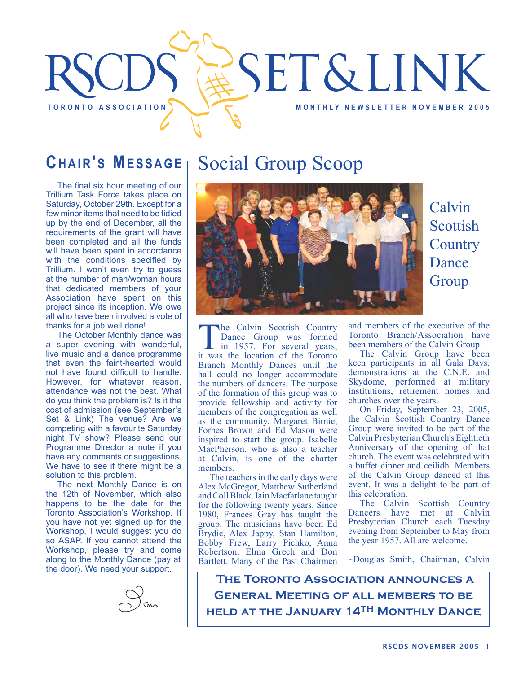

## **CHAIR'S MESSAGE**

The final six hour meeting of our Trillium Task Force takes place on Saturday, October 29th. Except for a few minor items that need to be tidied up by the end of December, all the requirements of the grant will have been completed and all the funds will have been spent in accordance with the conditions specified by Trillium. I won't even try to guess at the number of man/woman hours that dedicated members of your Association have spent on this project since its inception. We owe all who have been involved a vote of thanks for a job well done!

The October Monthly dance was a super evening with wonderful, live music and a dance programme that even the faint-hearted would not have found difficult to handle. However, for whatever reason, attendance was not the best. What do you think the problem is? Is it the cost of admission (see September's Set & Link) The venue? Are we competing with a favourite Saturday night TV show? Please send our Programme Director a note if you have any comments or suggestions. We have to see if there might be a solution to this problem.

The next Monthly Dance is on the 12th of November, which also happens to be the date for the Toronto Association's Workshop. If you have not yet signed up for the Workshop, I would suggest you do so ASAP. If you cannot attend the Workshop, please try and come along to the Monthly Dance (pay at the door). We need your support.



## Social Group Scoop



Calvin Scottish **Country** Dance Group

The Calvin Scottish Country<br>
Dance Group was formed<br>
in 1957. For several years,<br>
it was the location of the Toronto Dance Group was formed it was the location of the Toronto Branch Monthly Dances until the hall could no longer accommodate the numbers of dancers. The purpose of the formation of this group was to provide fellowship and activity for members of the congregation as well as the community. Margaret Birnie, Forbes Brown and Ed Mason were inspired to start the group. Isabelle MacPherson, who is also a teacher at Calvin, is one of the charter members.

The teachers in the early days were Alex McGregor, Matthew Sutherland and Coll Black. Iain Macfarlane taught for the following twenty years. Since 1980, Frances Gray has taught the group. The musicians have been Ed Brydie, Alex Jappy, Stan Hamilton, Bobby Frew, Larry Pichko, Anna Robertson, Elma Grech and Don Bartlett. Many of the Past Chairmen

and members of the executive of the Toronto Branch/Association have been members of the Calvin Group.

The Calvin Group have been keen participants in all Gala Days, demonstrations at the C.N.E. and Skydome, performed at military institutions, retirement homes and churches over the years.

On Friday, September 23, 2005, the Calvin Scottish Country Dance Group were invited to be part of the Calvin Presbyterian Church's Eightieth Anniversary of the opening of that church. The event was celebrated with a buffet dinner and ceilidh. Members of the Calvin Group danced at this event. It was a delight to be part of this celebration.

The Calvin Scottish Country Dancers have met at Calvin Presbyterian Church each Tuesday evening from September to May from the year 1957. All are welcome.

~Douglas Smith, Chairman, Calvin

**The Toronto Association announces a General Meeting of all members to be held at the January 14th Monthly Dance**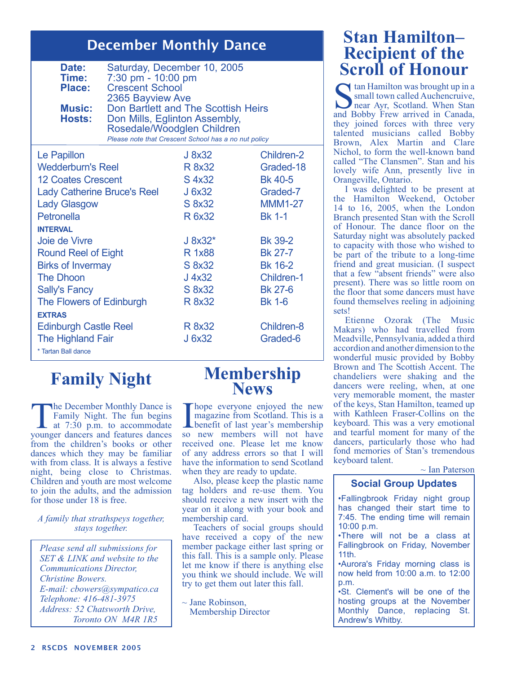### December Monthly Dance

| Date:<br>Time:<br>Place:<br><b>Music:</b><br>Hosts: | Saturday, December 10, 2005<br>7:30 pm - 10:00 pm<br><b>Crescent School</b><br>2365 Bayview Ave<br>Don Bartlett and The Scottish Heirs<br>Don Mills, Eglinton Assembly,<br>Rosedale/Woodglen Children |                                                      |                   |
|-----------------------------------------------------|-------------------------------------------------------------------------------------------------------------------------------------------------------------------------------------------------------|------------------------------------------------------|-------------------|
|                                                     |                                                                                                                                                                                                       | Please note that Crescent School has a no nut policy |                   |
| Le Papillon                                         |                                                                                                                                                                                                       | J 8x32                                               | <b>Children-2</b> |
| <b>Wedderburn's Reel</b>                            |                                                                                                                                                                                                       | R 8x32                                               | Graded-18         |
| <b>12 Coates Crescent</b>                           |                                                                                                                                                                                                       | S 4x32                                               | <b>Bk 40-5</b>    |
| <b>Lady Catherine Bruce's Reel</b>                  |                                                                                                                                                                                                       | J 6x32                                               | Graded-7          |
| <b>Lady Glasgow</b>                                 |                                                                                                                                                                                                       | S 8x32                                               | <b>MMM1-27</b>    |
| Petronella                                          |                                                                                                                                                                                                       | R 6x32                                               | <b>Bk 1-1</b>     |
| <b>INTERVAL</b>                                     |                                                                                                                                                                                                       |                                                      |                   |
| Joie de Vivre                                       |                                                                                                                                                                                                       | J 8x32*                                              | <b>Bk 39-2</b>    |
| <b>Round Reel of Eight</b>                          |                                                                                                                                                                                                       | R 1x88                                               | <b>Bk 27-7</b>    |
| <b>Birks of Invermay</b>                            |                                                                                                                                                                                                       | S 8x32                                               | <b>Bk 16-2</b>    |
| <b>The Dhoon</b>                                    |                                                                                                                                                                                                       | J 4x32                                               | <b>Children-1</b> |
| <b>Sally's Fancy</b>                                |                                                                                                                                                                                                       | S 8x32                                               | <b>Bk 27-6</b>    |
| The Flowers of Edinburgh                            |                                                                                                                                                                                                       | R 8x32                                               | <b>Bk 1-6</b>     |
| <b>EXTRAS</b>                                       |                                                                                                                                                                                                       |                                                      |                   |
| <b>Edinburgh Castle Reel</b>                        |                                                                                                                                                                                                       | R 8x32                                               | <b>Children-8</b> |
| The Highland Fair                                   |                                                                                                                                                                                                       | J 6x32                                               | Graded-6          |
| * Tartan Ball dance                                 |                                                                                                                                                                                                       |                                                      |                   |

## **Family Night**

The December Monthly Dance is Family Night. The fun begins at 7:30 p.m. to accommodate younger dancers and features dances from the children's books or other dances which they may be familiar with from class. It is always a festive night, being close to Christmas. Children and youth are most welcome to join the adults, and the admission for those under 18 is free.

#### *A family that strathspeys together, stays together.*

*Please send all submissions for SET & LINK and website to the Communications Director, Christine Bowers. E-mail: cbowers@sympatico.ca Telephone: 416-481-3975 Address: 52 Chatsworth Drive, Toronto ON M4R 1R5*

# **Membership News**

I hope everyone enjoyed the new<br>
magazine from Scotland. This is a<br>
benefit of last year's membership<br>
so new members will not have magazine from Scotland. This is a so new members will not have received one. Please let me know of any address errors so that I will have the information to send Scotland when they are ready to update.

Also, please keep the plastic name tag holders and re-use them. You should receive a new insert with the year on it along with your book and membership card.

Teachers of social groups should have received a copy of the new member package either last spring or this fall. This is a sample only. Please let me know if there is anything else you think we should include. We will try to get them out later this fall.

 $\sim$  Jane Robinson, Membership Director

### **Stan Hamilton– Recipient of the Scroll of Honour**

 $\bigcap$  tan Hamilton was brought up in a small town called Auchencruive, near Ayr, Scotland. When Stan and Bobby Frew arrived in Canada, they joined forces with three very talented musicians called Bobby Brown, Alex Martin and Clare Nichol, to form the well-known band called "The Clansmen". Stan and his lovely wife Ann, presently live in Orangeville, Ontario.

I was delighted to be present at the Hamilton Weekend, October 14 to 16, 2005, when the London Branch presented Stan with the Scroll of Honour. The dance floor on the Saturday night was absolutely packed to capacity with those who wished to be part of the tribute to a long-time friend and great musician. (I suspect that a few "absent friends" were also present). There was so little room on the floor that some dancers must have found themselves reeling in adjoining sets!

Etienne Ozorak (The Music Makars) who had travelled from Meadville, Pennsylvania, added a third accordion and another dimension to the wonderful music provided by Bobby Brown and The Scottish Accent. The chandeliers were shaking and the dancers were reeling, when, at one very memorable moment, the master of the keys, Stan Hamilton, teamed up with Kathleen Fraser-Collins on the keyboard. This was a very emotional and tearful moment for many of the dancers, particularly those who had fond memories of Stan's tremendous keyboard talent.

 $\sim$  Ian Paterson

#### **Social Group Updates**

•Fallingbrook Friday night group has changed their start time to 7:45. The ending time will remain 10:00 p.m.

•There will not be a class at Fallingbrook on Friday, November 11th.

•Aurora's Friday morning class is now held from 10:00 a.m. to 12:00 p.m.

•St. Clement's will be one of the hosting groups at the November Monthly Dance, replacing St. Andrew's Whitby.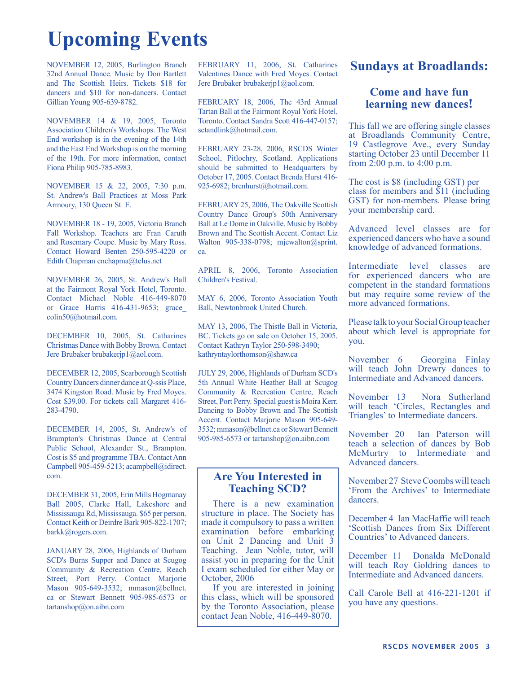## **Upcoming Events**

NOVEMBER 12, 2005, Burlington Branch 32nd Annual Dance. Music by Don Bartlett and The Scottish Heirs. Tickets \$18 for dancers and \$10 for non-dancers. Contact Gillian Young 905-639-8782.

NOVEMBER 14 & 19, 2005, Toronto Association Children's Workshops. The West End workshop is in the evening of the 14th and the East End Workshop is on the morning of the 19th. For more information, contact Fiona Philip 905-785-8983.

NOVEMBER 15 & 22, 2005, 7:30 p.m. St. Andrew's Ball Practices at Moss Park Armoury, 130 Queen St. E.

NOVEMBER 18 - 19, 2005, Victoria Branch Fall Workshop. Teachers are Fran Caruth and Rosemary Coupe. Music by Mary Ross. Contact Howard Benten 250-595-4220 or Edith Chapman enchapma@telus.net

NOVEMBER 26, 2005, St. Andrew's Ball at the Fairmont Royal York Hotel, Toronto. Contact Michael Noble 416-449-8070 or Grace Harris 416-431-9653; grace\_ colin50@hotmail.com.

DECEMBER 10, 2005, St. Catharines Christmas Dance with Bobby Brown. Contact Jere Brubaker brubakerjp1@aol.com.

DECEMBER 12, 2005, Scarborough Scottish Country Dancers dinner dance at Q-ssis Place, 3474 Kingston Road. Music by Fred Moyes. Cost \$39.00. For tickets call Margaret 416- 283-4790.

DECEMBER 14, 2005, St. Andrew's of Brampton's Christmas Dance at Central Public School, Alexander St., Brampton. Cost is \$5 and programme TBA. Contact Ann Campbell 905-459-5213; acampbell@idirect. com.

DECEMBER 31, 2005, Erin Mills Hogmanay Ball 2005, Clarke Hall, Lakeshore and Mississauga Rd, Mississauga. \$65 per person. Contact Keith or Deirdre Bark 905-822-1707; barkk@rogers.com.

JANUARY 28, 2006, Highlands of Durham SCD's Burns Supper and Dance at Scugog Community & Recreation Centre, Reach Street, Port Perry. Contact Marjorie Mason 905-649-3532; mmason@bellnet. ca or Stewart Bennett 905-985-6573 or tartanshop@on.aibn.com

FEBRUARY 11, 2006, St. Catharines Valentines Dance with Fred Moyes. Contact Jere Brubaker brubakerjp1@aol.com.

FEBRUARY 18, 2006, The 43rd Annual Tartan Ball at the Fairmont Royal York Hotel, Toronto. Contact Sandra Scott 416-447-0157; setandlink@hotmail.com.

FEBRUARY 23-28, 2006, RSCDS Winter School, Pitlochry, Scotland. Applications should be submitted to Headquarters by October 17, 2005. Contact Brenda Hurst 416- 925-6982; brenhurst@hotmail.com.

FEBRUARY 25, 2006, The Oakville Scottish Country Dance Group's 50th Anniversary Ball at Le Dome in Oakville. Music by Bobby Brown and The Scottish Accent. Contact Liz Walton 905-338-0798; mjewalton@sprint. ca.

APRIL 8, 2006, Toronto Association Children's Festival.

MAY 6, 2006, Toronto Association Youth Ball, Newtonbrook United Church.

MAY 13, 2006, The Thistle Ball in Victoria, BC. Tickets go on sale on October 15, 2005. Contact Kathryn Taylor 250-598-3490; kathryntaylorthomson@shaw.ca

JULY 29, 2006, Highlands of Durham SCD's 5th Annual White Heather Ball at Scugog Community & Recreation Centre, Reach Street, Port Perry. Special guest is Moira Kerr. Dancing to Bobby Brown and The Scottish Accent. Contact Marjorie Mason 905-649- 3532; mmason@bellnet.ca or Stewart Bennett 905-985-6573 or tartanshop@on.aibn.com

#### **Are You Interested in Teaching SCD?**

There is a new examination structure in place. The Society has made it compulsory to pass a written examination before embarking on Unit 2 Dancing and Unit 3 Teaching. Jean Noble, tutor, will assist you in preparing for the Unit I exam scheduled for either May or October, 2006

If you are interested in joining this class, which will be sponsored by the Toronto Association, please contact Jean Noble, 416-449-8070.

#### **Sundays at Broadlands:**

#### **Come and have fun learning new dances!**

This fall we are offering single classes at Broadlands Community Centre, 19 Castlegrove Ave., every Sunday starting October 23 until December 11 from 2:00 p.m. to 4:00 p.m.

The cost is \$8 (including GST) per class for members and \$11 (including GST) for non-members. Please bring your membership card.

Advanced level classes are for experienced dancers who have a sound knowledge of advanced formations.

Intermediate level classes are for experienced dancers who are competent in the standard formations but may require some review of the more advanced formations.

Please talk to your Social Group teacher about which level is appropriate for you.

November 6 Georgina Finlay will teach John Drewry dances to Intermediate and Advanced dancers.

November 13 Nora Sutherland will teach 'Circles, Rectangles and Triangles' to Intermediate dancers.

November 20 Ian Paterson will teach a selection of dances by Bob McMurtry to Intermediate and Advanced dancers.

November 27 Steve Coombs will teach 'From the Archives' to Intermediate dancers.

December 4 Ian MacHaffie will teach 'Scottish Dances from Six Different Countries' to Advanced dancers.

December 11 Donalda McDonald will teach Roy Goldring dances to Intermediate and Advanced dancers.

Call Carole Bell at 416-221-1201 if you have any questions.